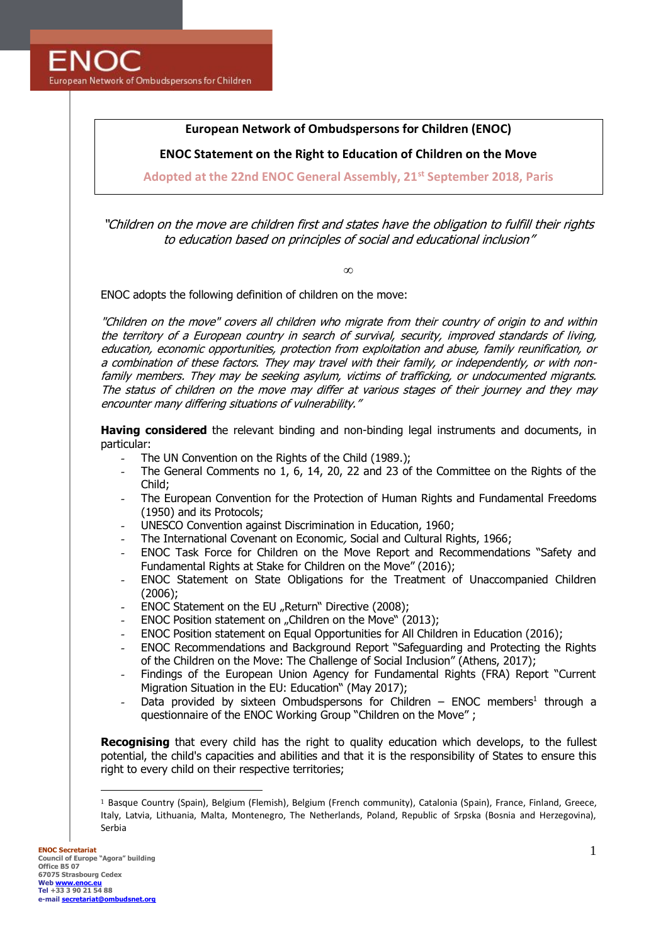## **European Network of Ombudspersons for Children (ENOC)**

**ENOC Statement on the Right to Education of Children on the Move**

**Adopted at the 22nd ENOC General Assembly, 21st September 2018, Paris** 

"Children on the move are children first and states have the obligation to fulfill their rights to education based on principles of social and educational inclusion"

∞

ENOC adopts the following definition of children on the move:

"Children on the move" covers all children who migrate from their country of origin to and within the territory of a European country in search of survival, security, improved standards of living, education, economic opportunities, protection from exploitation and abuse, family reunification, or a combination of these factors. They may travel with their family, or independently, or with nonfamily members. They may be seeking asylum, victims of trafficking, or undocumented migrants. The status of children on the move may differ at various stages of their journey and they may encounter many differing situations of vulnerability."

**Having considered** the relevant binding and non-binding legal instruments and documents, in particular:

- The UN Convention on the Rights of the Child (1989.);
- The General Comments no 1, 6, 14, 20, 22 and 23 of the Committee on the Rights of the Child;
- The European Convention for the Protection of Human Rights and Fundamental Freedoms (1950) and its Protocols;
- UNESCO Convention against Discrimination in Education, 1960;
- The International Covenant on Economic, Social and Cultural Rights, 1966;
- ENOC Task Force for Children on the Move Report and Recommendations "Safety and Fundamental Rights at Stake for Children on the Move" (2016);
- ENOC Statement on State Obligations for the Treatment of Unaccompanied Children (2006);
- ENOC Statement on the EU "Return" Directive (2008);
- ENOC Position statement on "Children on the Move" (2013);
- ENOC Position statement on Equal Opportunities for All Children in Education (2016);
- ENOC Recommendations and Background Report "Safeguarding and Protecting the Rights of the Children on the Move: The Challenge of Social Inclusion" (Athens, 2017);
- Findings of the European Union Agency for Fundamental Rights (FRA) Report "Current Migration Situation in the EU: Education" (May 2017);
- Data provided by sixteen Ombudspersons for Children ENOC members<sup>1</sup> through a questionnaire of the ENOC Working Group "Children on the Move" ;

**Recognising** that every child has the right to quality education which develops, to the fullest potential, the child's capacities and abilities and that it is the responsibility of States to ensure this right to every child on their respective territories;

<sup>1</sup> Basque Country (Spain), Belgium (Flemish), Belgium (French community), Catalonia (Spain), France, Finland, Greece, Italy, Latvia, Lithuania, Malta, Montenegro, The Netherlands, Poland, Republic of Srpska (Bosnia and Herzegovina), Serbia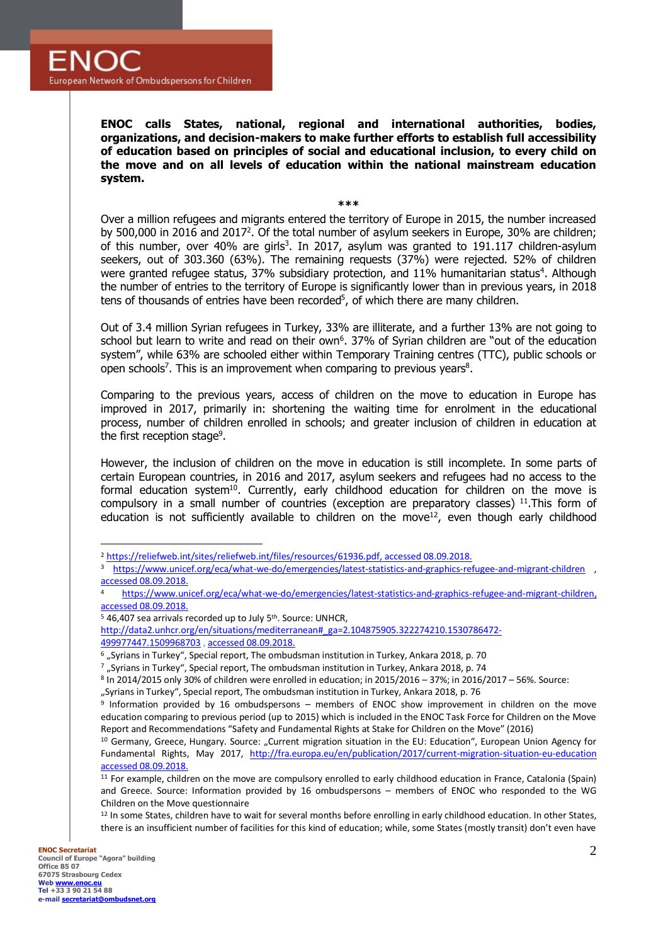**ENOC calls States, national, regional and international authorities, bodies, organizations, and decision-makers to make further efforts to establish full accessibility of education based on principles of social and educational inclusion, to every child on the move and on all levels of education within the national mainstream education system.**

**\*\*\***

Over a million refugees and migrants entered the territory of Europe in 2015, the number increased by 500,000 in 2016 and 2017<sup>2</sup>. Of the total number of asylum seekers in Europe, 30% are children; of this number, over 40% are girls<sup>3</sup>. In 2017, asylum was granted to 191.117 children-asylum seekers, out of 303.360 (63%). The remaining requests (37%) were rejected. 52% of children were granted refugee status, 37% subsidiary protection, and 11% humanitarian status<sup>4</sup>. Although the number of entries to the territory of Europe is significantly lower than in previous years, in 2018 tens of thousands of entries have been recorded<sup>5</sup>, of which there are many children.

Out of 3.4 million Syrian refugees in Turkey, 33% are illiterate, and a further 13% are not going to school but learn to write and read on their own<sup>6</sup>. 37% of Syrian children are "out of the education system", while 63% are schooled either within Temporary Training centres (TTC), public schools or open schools<sup>7</sup>. This is an improvement when comparing to previous years<sup>8</sup>.

Comparing to the previous years, access of children on the move to education in Europe has improved in 2017, primarily in: shortening the waiting time for enrolment in the educational process, number of children enrolled in schools; and greater inclusion of children in education at the first reception stage<sup>9</sup>.

However, the inclusion of children on the move in education is still incomplete. In some parts of certain European countries, in 2016 and 2017, asylum seekers and refugees had no access to the formal education system<sup>10</sup>. Currently, early childhood education for children on the move is compulsory in a small number of countries (exception are preparatory classes)  $^{11}$ . This form of education is not sufficiently available to children on the move<sup>12</sup>, even though early childhood

<sup>12</sup> In some States, children have to wait for several months before enrolling in early childhood education. In other States, there is an insufficient number of facilities for this kind of education; while, some States (mostly transit) don't even have

<sup>2</sup> [https://reliefweb.int/sites/reliefweb.int/files/resources/61936.pdf,](https://reliefweb.int/sites/reliefweb.int/files/resources/61936.pdf) accessed 08.09.2018.

<sup>3</sup> <https://www.unicef.org/eca/what-we-do/emergencies/latest-statistics-and-graphics-refugee-and-migrant-children> , accessed 08.09.2018.

<sup>4</sup> [https://www.unicef.org/eca/what-we-do/emergencies/latest-statistics-and-graphics-refugee-and-migrant-children,](https://www.unicef.org/eca/what-we-do/emergencies/latest-statistics-and-graphics-refugee-and-migrant-children)  accessed 08.09.2018.

<sup>&</sup>lt;sup>5</sup> 46,407 sea arrivals recorded up to July 5<sup>th</sup>. Source: UNHCR,

[http://data2.unhcr.org/en/situations/mediterranean#\\_ga=2.104875905.322274210.1530786472-](http://data2.unhcr.org/en/situations/mediterranean#_ga=2.104875905.322274210.1530786472-499977447.1509968703) [499977447.1509968703](http://data2.unhcr.org/en/situations/mediterranean#_ga=2.104875905.322274210.1530786472-499977447.1509968703) , accessed 08.09.2018.

<sup>&</sup>lt;sup>6</sup> "Syrians in Turkey", Special report, The ombudsman institution in Turkey, Ankara 2018, p. 70

 $7$  "Syrians in Turkey", Special report, The ombudsman institution in Turkey, Ankara 2018, p. 74

<sup>8</sup> In 2014/2015 only 30% of children were enrolled in education; in 2015/2016 – 37%; in 2016/2017 – 56%. Source:

<sup>&</sup>quot;Syrians in Turkey", Special report, The ombudsman institution in Turkey, Ankara 2018, p. 76

<sup>9</sup> Information provided by 16 ombudspersons – members of ENOC show improvement in children on the move education comparing to previous period (up to 2015) which is included in the ENOC Task Force for Children on the Move Report and Recommendations "Safety and Fundamental Rights at Stake for Children on the Move" (2016)

<sup>10</sup> Germany, Greece, Hungary. Source: "Current migration situation in the EU: Education", European Union Agency for Fundamental Rights, May 2017, <http://fra.europa.eu/en/publication/2017/current-migration-situation-eu-education> accessed 08.09.2018.

 $11$  For example, children on the move are compulsory enrolled to early childhood education in France, Catalonia (Spain) and Greece. Source: Information provided by 16 ombudspersons – members of ENOC who responded to the WG Children on the Move questionnaire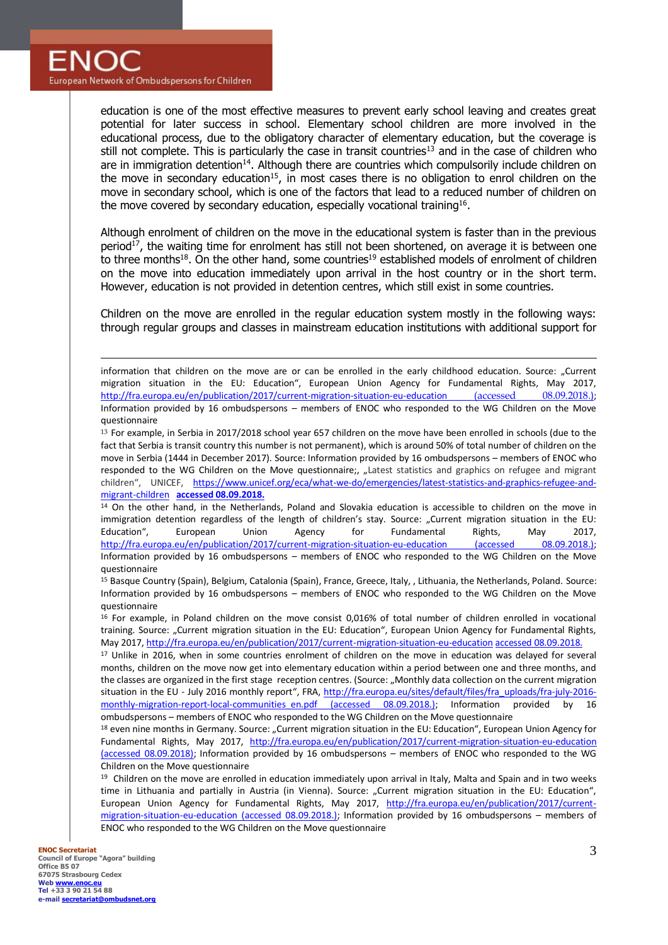

education is one of the most effective measures to prevent early school leaving and creates great potential for later success in school. Elementary school children are more involved in the educational process, due to the obligatory character of elementary education, but the coverage is still not complete. This is particularly the case in transit countries<sup>13</sup> and in the case of children who are in immigration detention<sup>14</sup>. Although there are countries which compulsorily include children on the move in secondary education<sup>15</sup>, in most cases there is no obligation to enrol children on the move in secondary school, which is one of the factors that lead to a reduced number of children on the move covered by secondary education, especially vocational training<sup>16</sup>.

Although enrolment of children on the move in the educational system is faster than in the previous period<sup>17</sup>, the waiting time for enrolment has still not been shortened, on average it is between one to three months<sup>18</sup>. On the other hand, some countries<sup>19</sup> established models of enrolment of children on the move into education immediately upon arrival in the host country or in the short term. However, education is not provided in detention centres, which still exist in some countries.

Children on the move are enrolled in the regular education system mostly in the following ways: through regular groups and classes in mainstream education institutions with additional support for

information that children on the move are or can be enrolled in the early childhood education. Source: "Current migration situation in the EU: Education", European Union Agency for Fundamental Rights, May 2017, <http://fra.europa.eu/en/publication/2017/current-migration-situation-eu-education> (accessed 08.09.2018.); Information provided by 16 ombudspersons – members of ENOC who responded to the WG Children on the Move questionnaire

13 For example, in Serbia in 2017/2018 school year 657 children on the move have been enrolled in schools (due to the fact that Serbia is transit country this number is not permanent), which is around 50% of total number of children on the move in Serbia (1444 in December 2017). Source: Information provided by 16 ombudspersons – members of ENOC who responded to the WG Children on the Move questionnaire;, "Latest statistics and graphics on refugee and migrant children", UNICEF, [https://www.unicef.org/eca/what-we-do/emergencies/latest-statistics-and-graphics-refugee-and](https://www.unicef.org/eca/what-we-do/emergencies/latest-statistics-and-graphics-refugee-and-migrant-children)[migrant-children](https://www.unicef.org/eca/what-we-do/emergencies/latest-statistics-and-graphics-refugee-and-migrant-children) **accessed 08.09.2018.**

<sup>14</sup> On the other hand, in the Netherlands, Poland and Slovakia education is accessible to children on the move in immigration detention regardless of the length of children's stay. Source: "Current migration situation in the EU: Education", European Union Agency for Fundamental Rights, May 2017, <http://fra.europa.eu/en/publication/2017/current-migration-situation-eu-education> (accessed 08.09.2018.); Information provided by 16 ombudspersons – members of ENOC who responded to the WG Children on the Move questionnaire

<sup>15</sup> Basque Country (Spain), Belgium, Catalonia (Spain), France, Greece, Italy, , Lithuania, the Netherlands, Poland. Source: Information provided by 16 ombudspersons – members of ENOC who responded to the WG Children on the Move questionnaire

<sup>16</sup> For example, in Poland children on the move consist 0,016% of total number of children enrolled in vocational training. Source: "Current migration situation in the EU: Education", European Union Agency for Fundamental Rights, May 2017[, http://fra.europa.eu/en/publication/2017/current-migration-situation-eu-education](http://fra.europa.eu/en/publication/2017/current-migration-situation-eu-education) accessed 08.09.2018.

<sup>17</sup> Unlike in 2016, when in some countries enrolment of children on the move in education was delayed for several months, children on the move now get into elementary education within a period between one and three months, and the classes are organized in the first stage reception centres. (Source: "Monthly data collection on the current migration situation in the EU - July 2016 monthly report", FRA, [http://fra.europa.eu/sites/default/files/fra\\_uploads/fra-july-2016](http://fra.europa.eu/sites/default/files/fra_uploads/fra-july-2016-monthly-migration-report-local-communities_en.pdf) [monthly-migration-report-local-communities\\_en.pdf](http://fra.europa.eu/sites/default/files/fra_uploads/fra-july-2016-monthly-migration-report-local-communities_en.pdf) (accessed 08.09.2018.); Information provided by 16 ombudspersons – members of ENOC who responded to the WG Children on the Move questionnaire

18 even nine months in Germany. Source: "Current migration situation in the EU: Education", European Union Agency for Fundamental Rights, May 2017, <http://fra.europa.eu/en/publication/2017/current-migration-situation-eu-education> (accessed 08.09.2018); Information provided by 16 ombudspersons – members of ENOC who responded to the WG Children on the Move questionnaire

<sup>19</sup> Children on the move are enrolled in education immediately upon arrival in Italy, Malta and Spain and in two weeks time in Lithuania and partially in Austria (in Vienna). Source: "Current migration situation in the EU: Education", European Union Agency for Fundamental Rights, May 2017, [http://fra.europa.eu/en/publication/2017/current](http://fra.europa.eu/en/publication/2017/current-migration-situation-eu-education)[migration-situation-eu-education](http://fra.europa.eu/en/publication/2017/current-migration-situation-eu-education) (accessed 08.09.2018.); Information provided by 16 ombudspersons – members of ENOC who responded to the WG Children on the Move questionnaire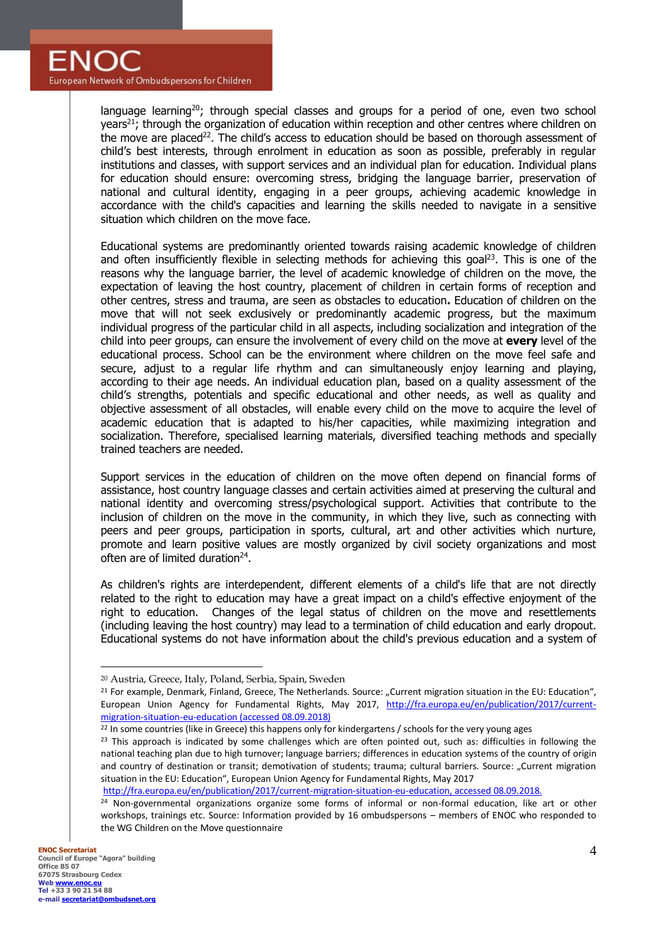language learning<sup>20</sup>; through special classes and groups for a period of one, even two school years<sup>21</sup>; through the organization of education within reception and other centres where children on the move are placed<sup>22</sup>. The child's access to education should be based on thorough assessment of child's best interests, through enrolment in education as soon as possible, preferably in regular institutions and classes, with support services and an individual plan for education. Individual plans for education should ensure: overcoming stress, bridging the language barrier, preservation of national and cultural identity, engaging in a peer groups, achieving academic knowledge in accordance with the child's capacities and learning the skills needed to navigate in a sensitive situation which children on the move face.

Educational systems are predominantly oriented towards raising academic knowledge of children and often insufficiently flexible in selecting methods for achieving this goal<sup>23</sup>. This is one of the reasons why the language barrier, the level of academic knowledge of children on the move, the expectation of leaving the host country, placement of children in certain forms of reception and other centres, stress and trauma, are seen as obstacles to education**.** Education of children on the move that will not seek exclusively or predominantly academic progress, but the maximum individual progress of the particular child in all aspects, including socialization and integration of the child into peer groups, can ensure the involvement of every child on the move at **every** level of the educational process. School can be the environment where children on the move feel safe and secure, adjust to a regular life rhythm and can simultaneously enjoy learning and playing, according to their age needs. An individual education plan, based on a quality assessment of the child's strengths, potentials and specific educational and other needs, as well as quality and objective assessment of all obstacles, will enable every child on the move to acquire the level of academic education that is adapted to his/her capacities, while maximizing integration and socialization. Therefore, specialised learning materials, diversified teaching methods and specially trained teachers are needed.

Support services in the education of children on the move often depend on financial forms of assistance, host country language classes and certain activities aimed at preserving the cultural and national identity and overcoming stress/psychological support. Activities that contribute to the inclusion of children on the move in the community, in which they live, such as connecting with peers and peer groups, participation in sports, cultural, art and other activities which nurture, promote and learn positive values are mostly organized by civil society organizations and most often are of limited duration<sup>24</sup>.

As children's rights are interdependent, different elements of a child's life that are not directly related to the right to education may have a great impact on a child's effective enjoyment of the right to education. Changes of the legal status of children on the move and resettlements (including leaving the host country) may lead to a termination of child education and early dropout. Educational systems do not have information about the child's previous education and a system of

[http://fra.europa.eu/en/publication/2017/current-migration-situation-eu-education,](http://fra.europa.eu/en/publication/2017/current-migration-situation-eu-education) accessed 08.09.2018.

 $\overline{a}$ <sup>20</sup> Austria, Greece, Italy, Poland, Serbia, Spain, Sweden

<sup>&</sup>lt;sup>21</sup> For example, Denmark, Finland, Greece, The Netherlands. Source: "Current migration situation in the EU: Education", European Union Agency for Fundamental Rights, May 2017, [http://fra.europa.eu/en/publication/2017/current](http://fra.europa.eu/en/publication/2017/current-migration-situation-eu-education)[migration-situation-eu-education](http://fra.europa.eu/en/publication/2017/current-migration-situation-eu-education) (accessed 08.09.2018)

<sup>&</sup>lt;sup>22</sup> In some countries (like in Greece) this happens only for kindergartens / schools for the very young ages

<sup>&</sup>lt;sup>23</sup> This approach is indicated by some challenges which are often pointed out, such as: difficulties in following the national teaching plan due to high turnover; language barriers; differences in education systems of the country of origin and country of destination or transit; demotivation of students; trauma; cultural barriers. Source: "Current migration situation in the EU: Education", European Union Agency for Fundamental Rights, May 2017

<sup>&</sup>lt;sup>24</sup> Non-governmental organizations organize some forms of informal or non-formal education, like art or other workshops, trainings etc. Source: Information provided by 16 ombudspersons – members of ENOC who responded to the WG Children on the Move questionnaire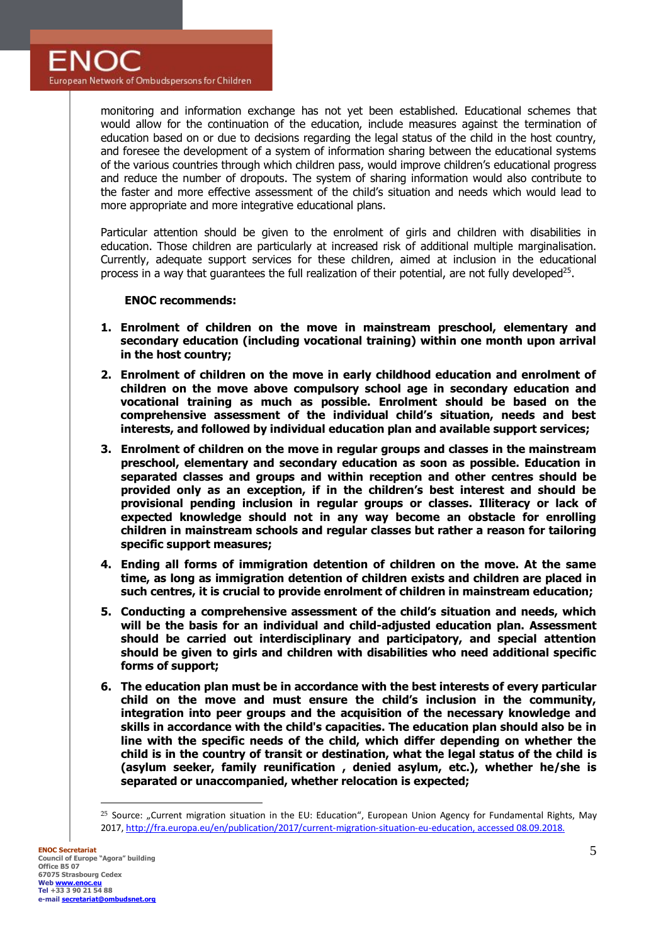monitoring and information exchange has not yet been established. Educational schemes that would allow for the continuation of the education, include measures against the termination of education based on or due to decisions regarding the legal status of the child in the host country, and foresee the development of a system of information sharing between the educational systems of the various countries through which children pass, would improve children's educational progress and reduce the number of dropouts. The system of sharing information would also contribute to the faster and more effective assessment of the child's situation and needs which would lead to more appropriate and more integrative educational plans.

Particular attention should be given to the enrolment of girls and children with disabilities in education. Those children are particularly at increased risk of additional multiple marginalisation. Currently, adequate support services for these children, aimed at inclusion in the educational process in a way that guarantees the full realization of their potential, are not fully developed<sup>25</sup>.

## **ENOC recommends:**

- **1. Enrolment of children on the move in mainstream preschool, elementary and secondary education (including vocational training) within one month upon arrival in the host country;**
- **2. Enrolment of children on the move in early childhood education and enrolment of children on the move above compulsory school age in secondary education and vocational training as much as possible. Enrolment should be based on the comprehensive assessment of the individual child's situation, needs and best interests, and followed by individual education plan and available support services;**
- **3. Enrolment of children on the move in regular groups and classes in the mainstream preschool, elementary and secondary education as soon as possible. Education in separated classes and groups and within reception and other centres should be provided only as an exception, if in the children's best interest and should be provisional pending inclusion in regular groups or classes. Illiteracy or lack of expected knowledge should not in any way become an obstacle for enrolling children in mainstream schools and regular classes but rather a reason for tailoring specific support measures;**
- **4. Ending all forms of immigration detention of children on the move. At the same time, as long as immigration detention of children exists and children are placed in such centres, it is crucial to provide enrolment of children in mainstream education;**
- **5. Conducting a comprehensive assessment of the child's situation and needs, which will be the basis for an individual and child-adjusted education plan. Assessment should be carried out interdisciplinary and participatory, and special attention should be given to girls and children with disabilities who need additional specific forms of support;**
- **6. The education plan must be in accordance with the best interests of every particular child on the move and must ensure the child's inclusion in the community, integration into peer groups and the acquisition of the necessary knowledge and skills in accordance with the child's capacities. The education plan should also be in line with the specific needs of the child, which differ depending on whether the child is in the country of transit or destination, what the legal status of the child is (asylum seeker, family reunification , denied asylum, etc.), whether he/she is separated or unaccompanied, whether relocation is expected;**

<sup>&</sup>lt;sup>25</sup> Source: "Current migration situation in the EU: Education", European Union Agency for Fundamental Rights, May 2017[, http://fra.europa.eu/en/publication/2017/current-migration-situation-eu-education,](http://fra.europa.eu/en/publication/2017/current-migration-situation-eu-education) accessed 08.09.2018.